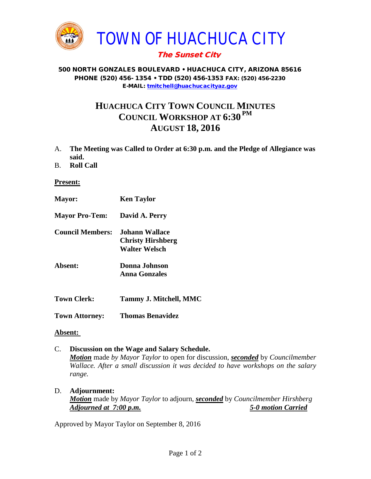

## The Sunset City

#### 500 NORTH GONZALES BOULEVARD • HUACHUCA CITY, ARIZONA 85616 PHONE (520) 456- 1354 • TDD (520) 456-1353 FAX: (520) 456-2230 E-MAIL: [tmitchell@huachucacityaz.gov](mailto:tmitchell@huachucacityaz.gov)

# **HUACHUCA CITY TOWN COUNCIL MINUTES COUNCIL WORKSHOP AT 6:30 PM AUGUST 18, 2016**

- A. **The Meeting was Called to Order at 6:30 p.m. and the Pledge of Allegiance was said.**
- B. **Roll Call**

**Present:**

**Mayor: Ken Taylor Mayor Pro-Tem: David A. Perry Council Members: Johann Wallace Christy Hirshberg Walter Welsch Absent: Donna Johnson Anna Gonzales Town Clerk: Tammy J. Mitchell, MMC**

**Town Attorney: Thomas Benavidez**

### **Absent:**

- C. **Discussion on the Wage and Salary Schedule.** *Motion* made *by Mayor Taylor* to open for discussion, *seconded* by *Councilmember Wallace. After a small discussion it was decided to have workshops on the salary range.*
- D. **Adjournment:** *Motion* made by *Mayor Taylor* to adjourn, *seconded* by *Councilmember Hirshberg Adjourned at 7:00 p.m. 5-0 motion Carried*

Approved by Mayor Taylor on September 8, 2016